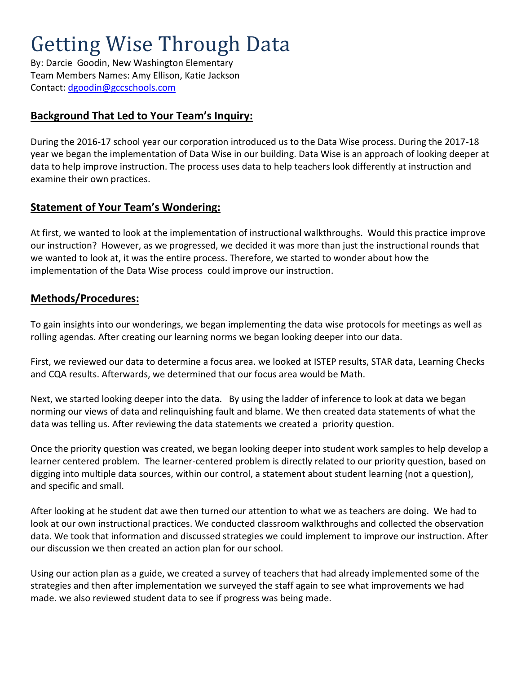# Getting Wise Through Data

By: Darcie Goodin, New Washington Elementary Team Members Names: Amy Ellison, Katie Jackson Contact:<dgoodin@gccschools.com>

#### **Background That Led to Your Team's Inquiry:**

During the 2016-17 school year our corporation introduced us to the Data Wise process. During the 2017-18 year we began the implementation of Data Wise in our building. Data Wise is an approach of looking deeper at data to help improve instruction. The process uses data to help teachers look differently at instruction and examine their own practices.

#### **Statement of Your Team's Wondering:**

At first, we wanted to look at the implementation of instructional walkthroughs. Would this practice improve our instruction? However, as we progressed, we decided it was more than just the instructional rounds that we wanted to look at, it was the entire process. Therefore, we started to wonder about how the implementation of the Data Wise process could improve our instruction.

#### **Methods/Procedures:**

To gain insights into our wonderings, we began implementing the data wise protocols for meetings as well as rolling agendas. After creating our learning norms we began looking deeper into our data.

First, we reviewed our data to determine a focus area. we looked at ISTEP results, STAR data, Learning Checks and CQA results. Afterwards, we determined that our focus area would be Math.

Next, we started looking deeper into the data. By using the ladder of inference to look at data we began norming our views of data and relinquishing fault and blame. We then created data statements of what the data was telling us. After reviewing the data statements we created a priority question.

Once the priority question was created, we began looking deeper into student work samples to help develop a learner centered problem. The learner-centered problem is directly related to our priority question, based on digging into multiple data sources, within our control, a statement about student learning (not a question), and specific and small.

After looking at he student dat awe then turned our attention to what we as teachers are doing. We had to look at our own instructional practices. We conducted classroom walkthroughs and collected the observation data. We took that information and discussed strategies we could implement to improve our instruction. After our discussion we then created an action plan for our school.

Using our action plan as a guide, we created a survey of teachers that had already implemented some of the strategies and then after implementation we surveyed the staff again to see what improvements we had made. we also reviewed student data to see if progress was being made.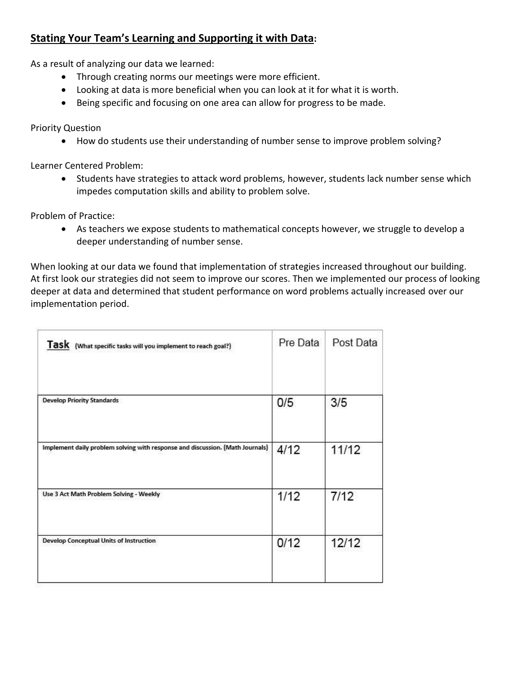#### **Stating Your Team's Learning and Supporting it with Data:**

As a result of analyzing our data we learned:

- Through creating norms our meetings were more efficient.
- Looking at data is more beneficial when you can look at it for what it is worth.
- Being specific and focusing on one area can allow for progress to be made.

Priority Question

How do students use their understanding of number sense to improve problem solving?

Learner Centered Problem:

• Students have strategies to attack word problems, however, students lack number sense which impedes computation skills and ability to problem solve.

Problem of Practice:

 As teachers we expose students to mathematical concepts however, we struggle to develop a deeper understanding of number sense.

When looking at our data we found that implementation of strategies increased throughout our building. At first look our strategies did not seem to improve our scores. Then we implemented our process of looking deeper at data and determined that student performance on word problems actually increased over our implementation period.

| Task (What specific tasks will you implement to reach goal?)                  | Pre Data | Post Data |
|-------------------------------------------------------------------------------|----------|-----------|
| <b>Develop Priority Standards</b>                                             | 0/5      | 3/5       |
| Implement daily problem solving with response and discussion. (Math Journals) | 4/12     | 11/12     |
| Use 3 Act Math Problem Solving - Weekly                                       | 1/12     | 7/12      |
| <b>Develop Conceptual Units of Instruction</b>                                | 0/12     | 12/12     |